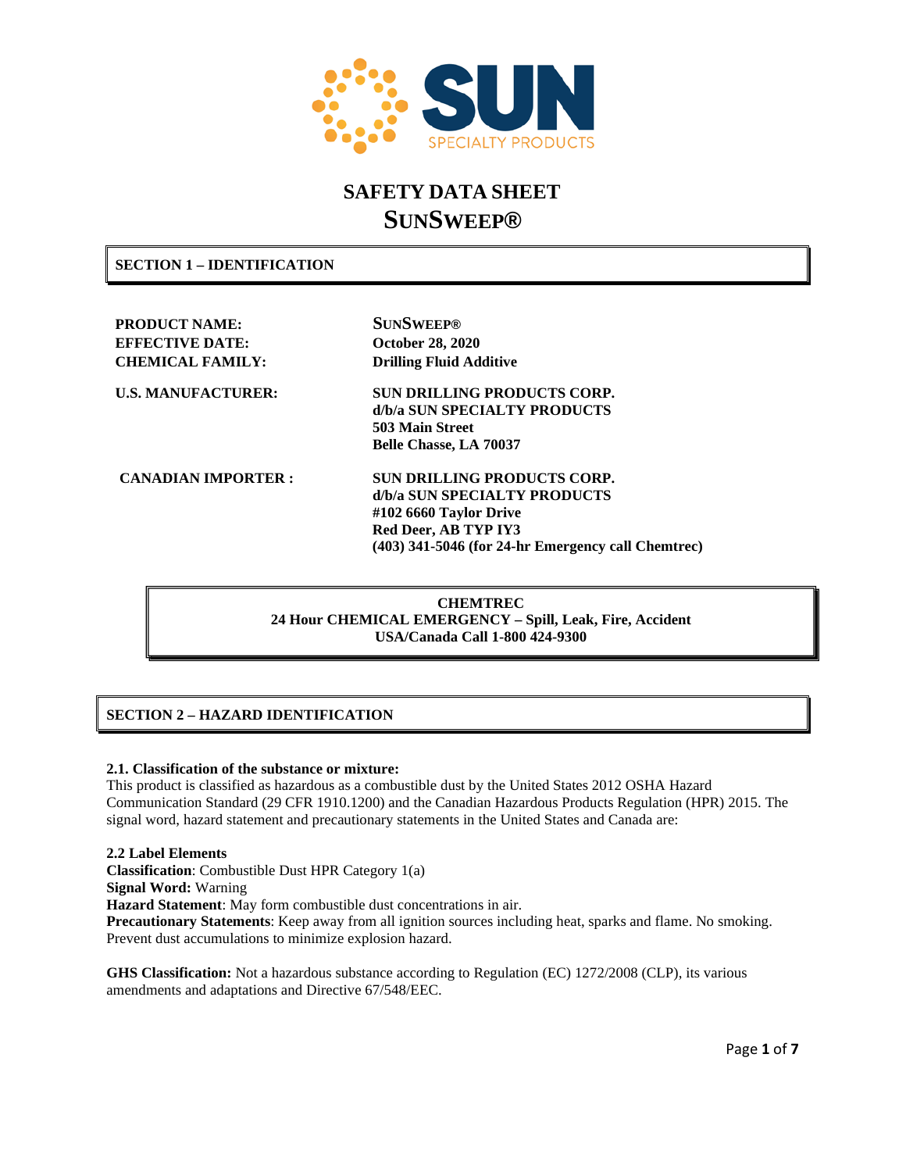

# **SAFETY DATA SHEET SUNSWEEP®**

**SECTION 1 – IDENTIFICATION**

**PRODUCT NAME: SUNSWEEP® EFFECTIVE DATE: October 28, 2020 CHEMICAL FAMILY: Drilling Fluid Additive**

**U.S. MANUFACTURER: SUN DRILLING PRODUCTS CORP. d/b/a SUN SPECIALTY PRODUCTS 503 Main Street Belle Chasse, LA 70037**

**CANADIAN IMPORTER : SUN DRILLING PRODUCTS CORP. d/b/a SUN SPECIALTY PRODUCTS #102 6660 Taylor Drive Red Deer, AB TYP IY3 (403) 341-5046 (for 24-hr Emergency call Chemtrec)**

> **CHEMTREC 24 Hour CHEMICAL EMERGENCY – Spill, Leak, Fire, Accident USA/Canada Call 1-800 424-9300**

# **SECTION 2 – HAZARD IDENTIFICATION**

#### **2.1. Classification of the substance or mixture:**

This product is classified as hazardous as a combustible dust by the United States 2012 OSHA Hazard Communication Standard (29 CFR 1910.1200) and the Canadian Hazardous Products Regulation (HPR) 2015. The signal word, hazard statement and precautionary statements in the United States and Canada are:

#### **2.2 Label Elements**

**Classification**: Combustible Dust HPR Category 1(a)

**Signal Word:** Warning

**Hazard Statement**: May form combustible dust concentrations in air.

**Precautionary Statements**: Keep away from all ignition sources including heat, sparks and flame. No smoking. Prevent dust accumulations to minimize explosion hazard.

**GHS Classification:** Not a hazardous substance according to Regulation (EC) 1272/2008 (CLP), its various amendments and adaptations and Directive 67/548/EEC.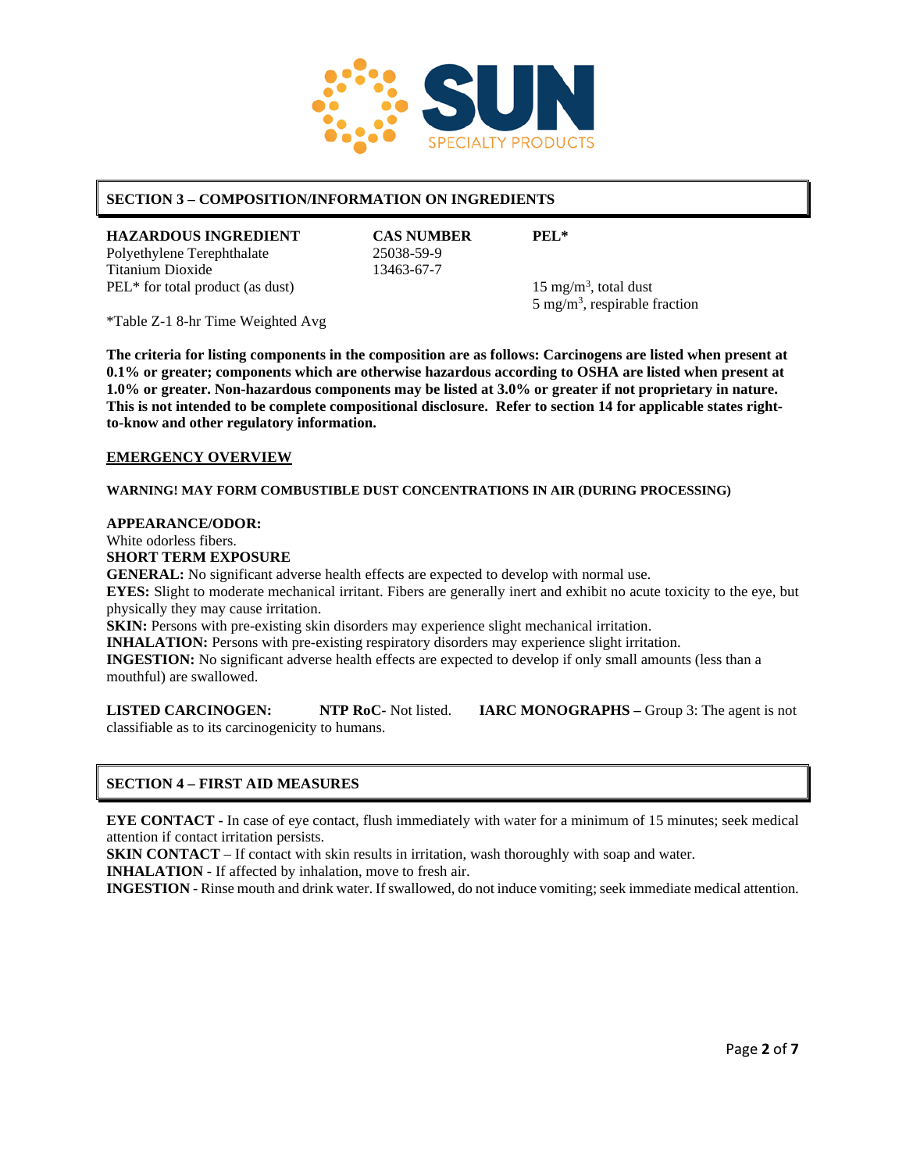

# **SECTION 3 – COMPOSITION/INFORMATION ON INGREDIENTS**

**HAZARDOUS INGREDIENT CAS NUMBER PEL\***<br>Polyethylene Terephthalate 25038-59-9 Polyethylene Terephthalate Titanium Dioxide 13463-67-7  $PEL*$  for total product (as dust)

 $15 \text{ mg/m}^3$ , total dust  $5 \text{ mg/m}^3$ , respirable fraction

\*Table Z-1 8-hr Time Weighted Avg

**The criteria for listing components in the composition are as follows: Carcinogens are listed when present at 0.1% or greater; components which are otherwise hazardous according to OSHA are listed when present at 1.0% or greater. Non-hazardous components may be listed at 3.0% or greater if not proprietary in nature. This is not intended to be complete compositional disclosure. Refer to section 14 for applicable states rightto-know and other regulatory information.**

#### **EMERGENCY OVERVIEW**

**WARNING! MAY FORM COMBUSTIBLE DUST CONCENTRATIONS IN AIR (DURING PROCESSING)**

#### **APPEARANCE/ODOR:**

White odorless fibers.

#### **SHORT TERM EXPOSURE**

**GENERAL:** No significant adverse health effects are expected to develop with normal use.

**EYES:** Slight to moderate mechanical irritant. Fibers are generally inert and exhibit no acute toxicity to the eye, but physically they may cause irritation.

**SKIN:** Persons with pre-existing skin disorders may experience slight mechanical irritation.

**INHALATION:** Persons with pre-existing respiratory disorders may experience slight irritation.

**INGESTION:** No significant adverse health effects are expected to develop if only small amounts (less than a mouthful) are swallowed.

**LISTED CARCINOGEN: NTP RoC-** Not listed. **IARC MONOGRAPHS –** Group 3: The agent is not classifiable as to its carcinogenicity to humans.

#### **SECTION 4 – FIRST AID MEASURES**

**EYE CONTACT -** In case of eye contact, flush immediately with Water for a minimum of 15 minutes; seek medical attention if contact irritation persists.

**SKIN CONTACT** – If contact with skin results in irritation, wash thoroughly with soap and water. **INHALATION** - If affected by inhalation, move to fresh air.

**INGESTION** - Rinse mouth and drink water. If swallowed, do not induce vomiting; seek immediate medical attention.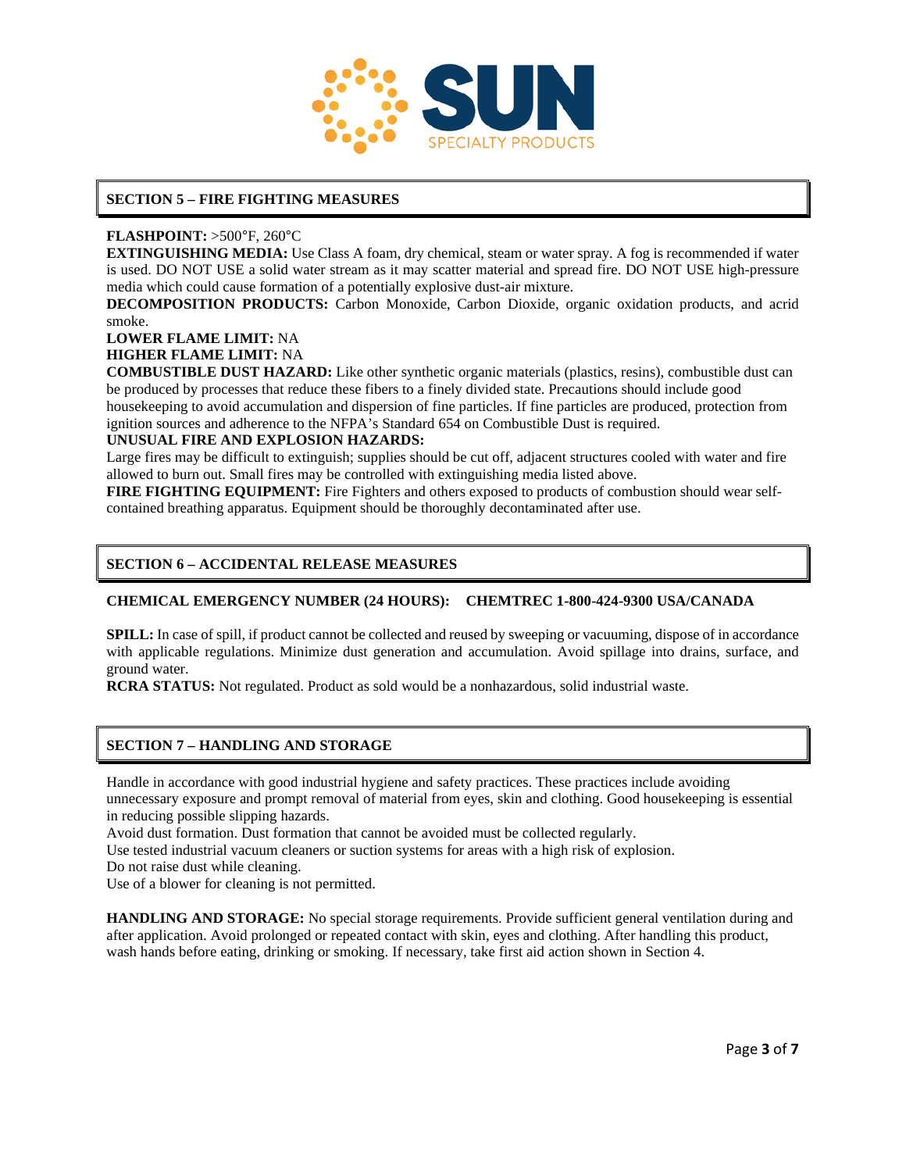

# **SECTION 5 – FIRE FIGHTING MEASURES**

# **FLASHPOINT:** >500°F, 260°C

**EXTINGUISHING MEDIA:** Use Class A foam, dry chemical, steam or water spray. A fog is recommended if water is used. DO NOT USE a solid water stream as it may scatter material and spread fire. DO NOT USE high-pressure media which could cause formation of a potentially explosive dust-air mixture.

**DECOMPOSITION PRODUCTS:** Carbon Monoxide, Carbon Dioxide, organic oxidation products, and acrid smoke.

# **LOWER FLAME LIMIT:** NA

# **HIGHER FLAME LIMIT:** NA

**COMBUSTIBLE DUST HAZARD:** Like other synthetic organic materials (plastics, resins), combustible dust can be produced by processes that reduce these fibers to a finely divided state. Precautions should include good housekeeping to avoid accumulation and dispersion of fine particles. If fine particles are produced, protection from

ignition sources and adherence to the NFPA's Standard 654 on Combustible Dust is required.

# **UNUSUAL FIRE AND EXPLOSION HAZARDS:**

Large fires may be difficult to extinguish; supplies should be cut off, adjacent structures cooled with water and fire allowed to burn out. Small fires may be controlled with extinguishing media listed above.

**FIRE FIGHTING EQUIPMENT:** Fire Fighters and others exposed to products of combustion should wear selfcontained breathing apparatus. Equipment should be thoroughly decontaminated after use.

# **SECTION 6 – ACCIDENTAL RELEASE MEASURES**

#### **CHEMICAL EMERGENCY NUMBER (24 HOURS): CHEMTREC 1-800-424-9300 USA/CANADA**

**SPILL:** In case of spill, if product cannot be collected and reused by sweeping or vacuuming, dispose of in accordance with applicable regulations. Minimize dust generation and accumulation. Avoid spillage into drains, surface, and ground water.

**RCRA STATUS:** Not regulated. Product as sold would be a nonhazardous, solid industrial waste.

# **SECTION 7 – HANDLING AND STORAGE**

Handle in accordance with good industrial hygiene and safety practices. These practices include avoiding unnecessary exposure and prompt removal of material from eyes, skin and clothing. Good housekeeping is essential in reducing possible slipping hazards.

Avoid dust formation. Dust formation that cannot be avoided must be collected regularly.

Use tested industrial vacuum cleaners or suction systems for areas with a high risk of explosion.

Do not raise dust while cleaning.

Use of a blower for cleaning is not permitted.

**HANDLING AND STORAGE:** No special storage requirements. Provide sufficient general ventilation during and after application. Avoid prolonged or repeated contact with skin, eyes and clothing. After handling this product, wash hands before eating, drinking or smoking. If necessary, take first aid action shown in Section 4.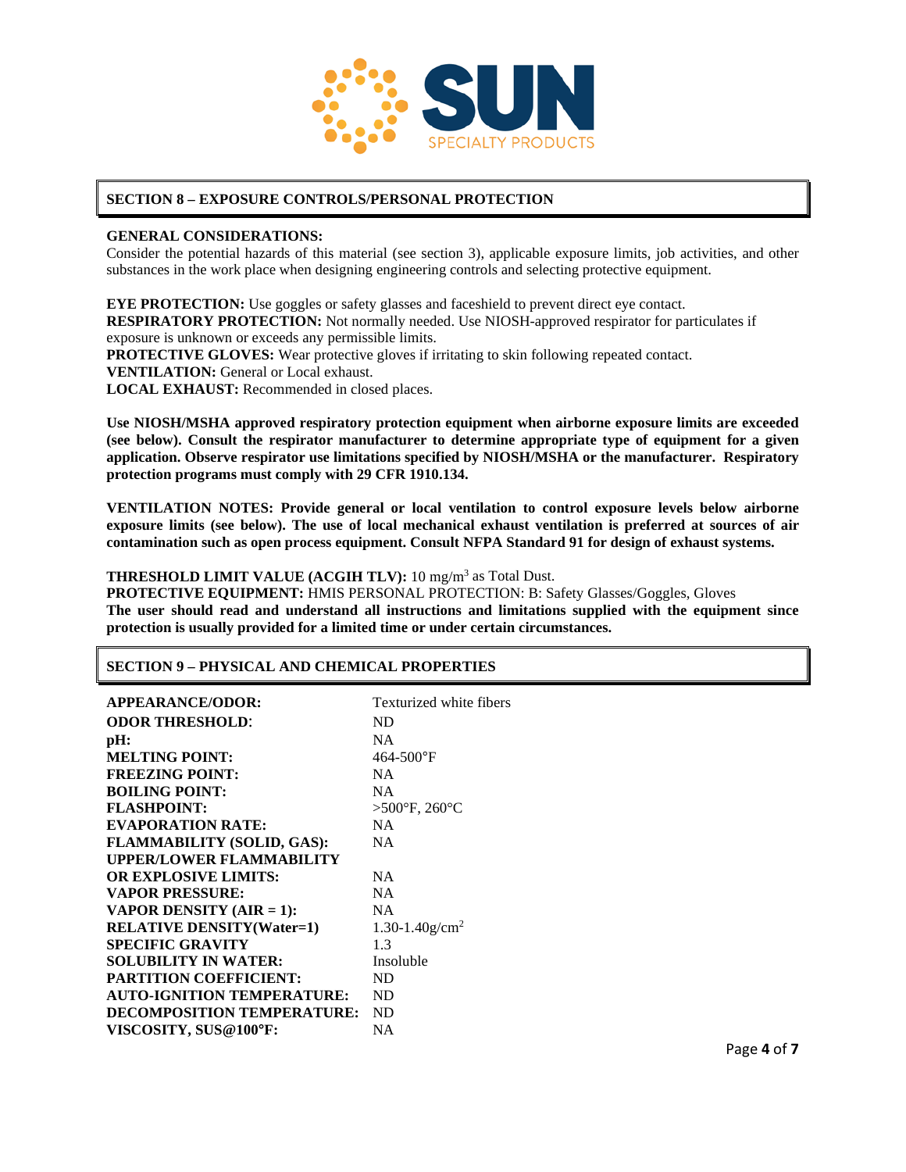

# **SECTION 8 – EXPOSURE CONTROLS/PERSONAL PROTECTION**

#### **GENERAL CONSIDERATIONS:**

Consider the potential hazards of this material (see section 3), applicable exposure limits, job activities, and other substances in the work place when designing engineering controls and selecting protective equipment.

**EYE PROTECTION:** Use goggles or safety glasses and faceshield to prevent direct eye contact. **RESPIRATORY PROTECTION:** Not normally needed. Use NIOSH-approved respirator for particulates if exposure is unknown or exceeds any permissible limits. **PROTECTIVE GLOVES:** Wear protective gloves if irritating to skin following repeated contact. **VENTILATION:** General or Local exhaust.

**LOCAL EXHAUST:** Recommended in closed places.

**Use NIOSH/MSHA approved respiratory protection equipment when airborne exposure limits are exceeded (see below). Consult the respirator manufacturer to determine appropriate type of equipment for a given application. Observe respirator use limitations specified by NIOSH/MSHA or the manufacturer. Respiratory protection programs must comply with 29 CFR 1910.134.**

**VENTILATION NOTES: Provide general or local ventilation to control exposure levels below airborne exposure limits (see below). The use of local mechanical exhaust ventilation is preferred at sources of air contamination such as open process equipment. Consult NFPA Standard 91 for design of exhaust systems.**

#### **THRESHOLD LIMIT VALUE (ACGIH TLV):** 10 mg/m3 as Total Dust.

**PROTECTIVE EQUIPMENT:** HMIS PERSONAL PROTECTION: B: Safety Glasses/Goggles, Gloves **The user should read and understand all instructions and limitations supplied with the equipment since protection is usually provided for a limited time or under certain circumstances.**

#### **SECTION 9 – PHYSICAL AND CHEMICAL PROPERTIES**

| Texturized white fibers            |
|------------------------------------|
| ND                                 |
| <b>NA</b>                          |
| 464-500°F                          |
| <b>NA</b>                          |
| <b>NA</b>                          |
| $>500^{\circ}$ F, 260 $^{\circ}$ C |
| <b>NA</b>                          |
| <b>NA</b>                          |
|                                    |
| <b>NA</b>                          |
| <b>NA</b>                          |
| <b>NA</b>                          |
| $1.30 - 1.40$ g/cm <sup>2</sup>    |
| 1.3                                |
| Insoluble                          |
| ND                                 |
| ND                                 |
| ND                                 |
| NA                                 |
|                                    |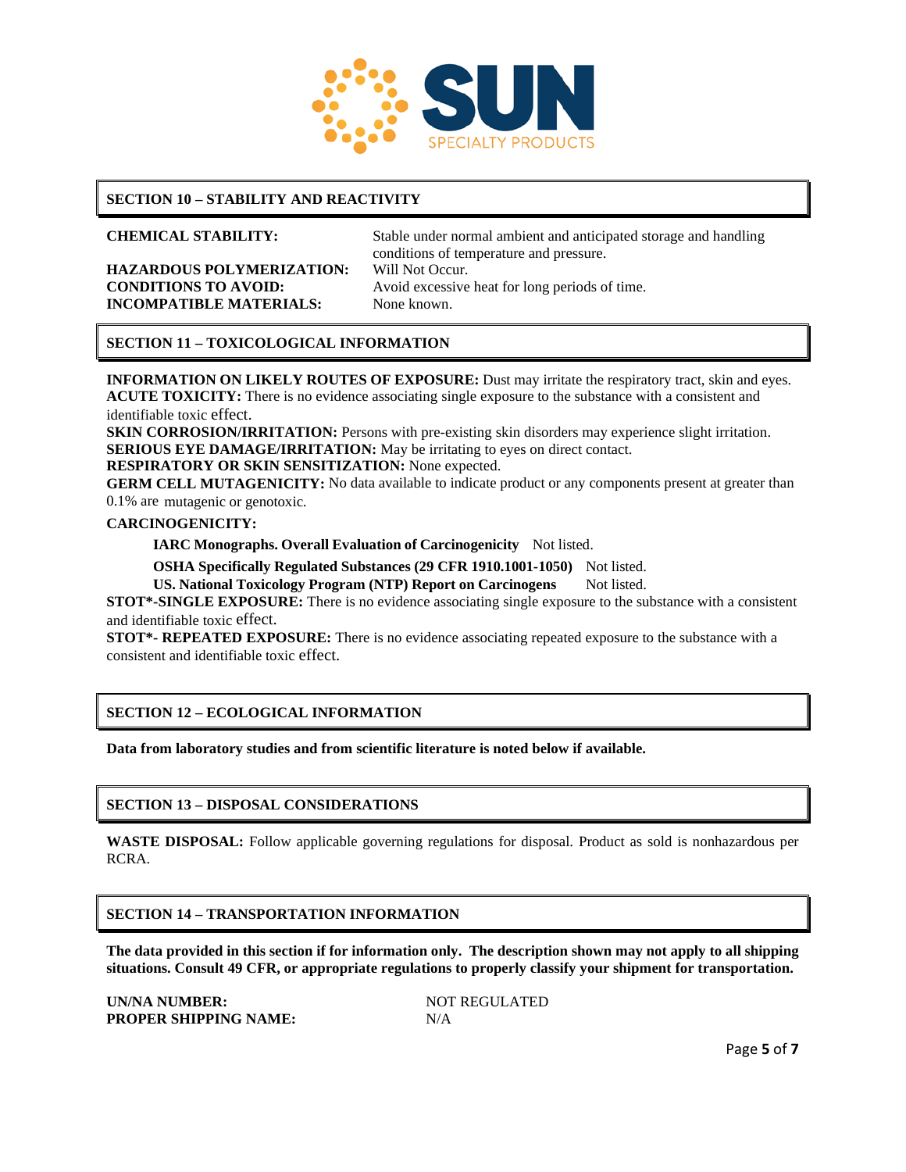

# **SECTION 10 – STABILITY AND REACTIVITY**

**HAZARDOUS POLYMERIZATION:** Will Not Occur. **INCOMPATIBLE MATERIALS:** None known.

**CHEMICAL STABILITY:** Stable under normal ambient and anticipated storage and handling conditions of temperature and pressure. **CONDITIONS TO AVOID:** Avoid excessive heat for long periods of time.

# **SECTION 11 – TOXICOLOGICAL INFORMATION**

**INFORMATION ON LIKELY ROUTES OF EXPOSURE:** Dust may irritate the respiratory tract, skin and eyes. **ACUTE TOXICITY:** There is no evidence associating single exposure to the substance with a consistent and identifiable toxic effect.

**SKIN CORROSION/IRRITATION:** Persons with pre-existing skin disorders may experience slight irritation. **SERIOUS EYE DAMAGE/IRRITATION:** May be irritating to eyes on direct contact.

**RESPIRATORY OR SKIN SENSITIZATION:** None expected.

**GERM CELL MUTAGENICITY:** No data available to indicate product or any components present at greater than 0.1% are mutagenic or genotoxic.

#### **CARCINOGENICITY:**

**IARC Monographs. Overall Evaluation of Carcinogenicity** Not listed.

**OSHA Specifically Regulated Substances (29 CFR 1910.1001-1050)** Not listed.

**US. National Toxicology Program (NTP) Report on Carcinogens** Not listed.

**STOT\*-SINGLE EXPOSURE:** There is no evidence associating single exposure to the substance with a consistent and identifiable toxic effect.

**STOT\*- REPEATED EXPOSURE:** There is no evidence associating repeated exposure to the substance with a consistent and identifiable toxic effect.

# **SECTION 12 – ECOLOGICAL INFORMATION**

**Data from laboratory studies and from scientific literature is noted below if available.**

#### **SECTION 13 – DISPOSAL CONSIDERATIONS**

**WASTE DISPOSAL:** Follow applicable governing regulations for disposal. Product as sold is nonhazardous per RCRA.

#### **SECTION 14 – TRANSPORTATION INFORMATION**

**The data provided in this section if for information only. The description shown may not apply to all shipping situations. Consult 49 CFR, or appropriate regulations to properly classify your shipment for transportation.**

**UN/NA NUMBER:** NOT REGULATED **PROPER SHIPPING NAME:** N/A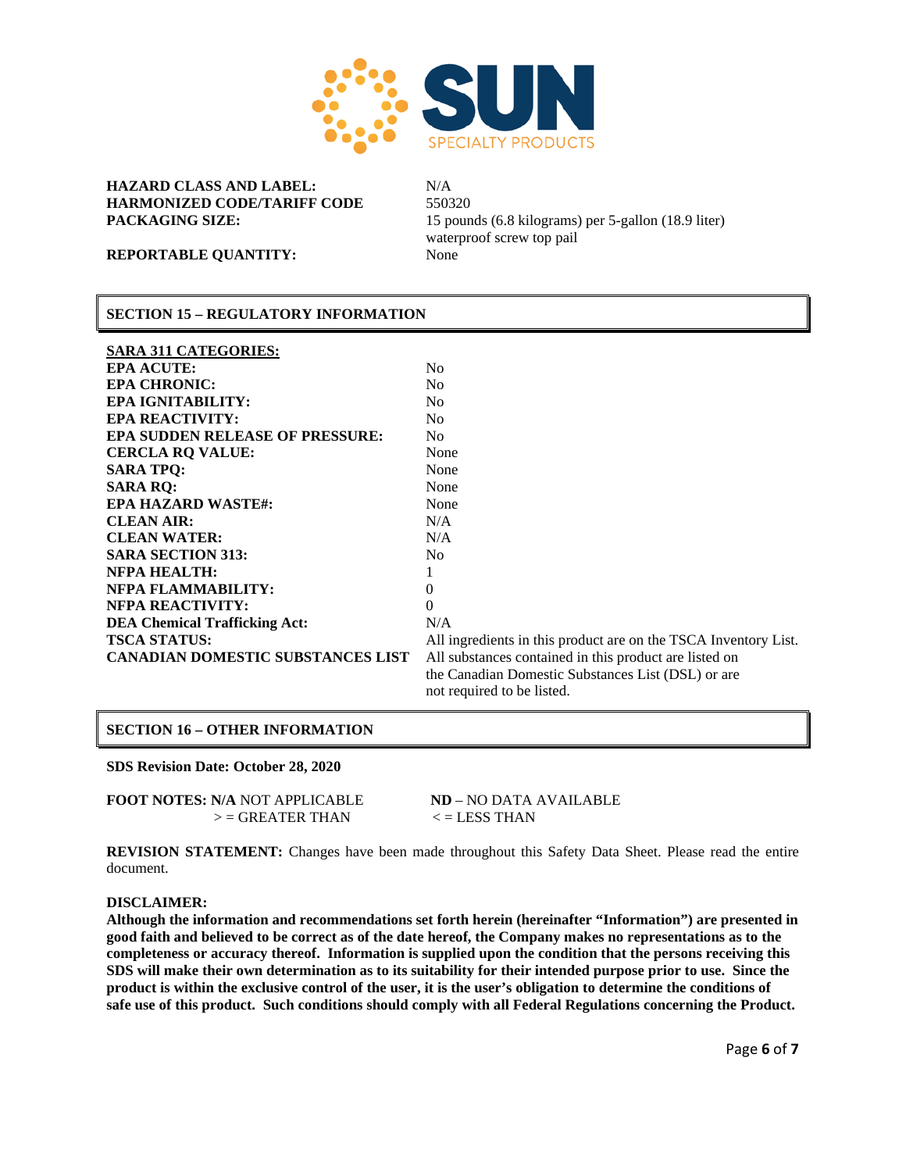

**HAZARD CLASS AND LABEL:** N/A **HARMONIZED CODE/TARIFF CODE** 550320

**PACKAGING SIZE:** 15 pounds (6.8 kilograms) per 5-gallon (18.9 liter) waterproof screw top pail

**REPORTABLE QUANTITY:** None

#### **SECTION 15 – REGULATORY INFORMATION**

| <b>SARA 311 CATEGORIES:</b>              |                                                                 |
|------------------------------------------|-----------------------------------------------------------------|
| <b>EPA ACUTE:</b>                        | N <sub>0</sub>                                                  |
| <b>EPA CHRONIC:</b>                      | N <sub>0</sub>                                                  |
| <b>EPA IGNITABILITY:</b>                 | N <sub>0</sub>                                                  |
| <b>EPA REACTIVITY:</b>                   | N <sub>0</sub>                                                  |
| <b>EPA SUDDEN RELEASE OF PRESSURE:</b>   | N <sub>0</sub>                                                  |
| <b>CERCLA RQ VALUE:</b>                  | None                                                            |
| <b>SARA TPO:</b>                         | None                                                            |
| <b>SARA RO:</b>                          | None                                                            |
| <b>EPA HAZARD WASTE#:</b>                | None                                                            |
| <b>CLEAN AIR:</b>                        | N/A                                                             |
| <b>CLEAN WATER:</b>                      | N/A                                                             |
| <b>SARA SECTION 313:</b>                 | N <sub>0</sub>                                                  |
| <b>NFPA HEALTH:</b>                      | 1                                                               |
| <b>NFPA FLAMMABILITY:</b>                | $\theta$                                                        |
| <b>NFPA REACTIVITY:</b>                  | $\Omega$                                                        |
| <b>DEA Chemical Trafficking Act:</b>     | N/A                                                             |
| <b>TSCA STATUS:</b>                      | All ingredients in this product are on the TSCA Inventory List. |
| <b>CANADIAN DOMESTIC SUBSTANCES LIST</b> | All substances contained in this product are listed on          |
|                                          | the Canadian Domestic Substances List (DSL) or are              |
|                                          | not required to be listed.                                      |
|                                          |                                                                 |

#### **SECTION 16 – OTHER INFORMATION**

**SDS Revision Date: October 28, 2020**

**FOOT NOTES: N/A** NOT APPLICABLE **ND** – NO DATA AVAILABLE  $>$  = GREATER THAN  $\lt$  = LESS THAN

**REVISION STATEMENT:** Changes have been made throughout this Safety Data Sheet. Please read the entire document.

#### **DISCLAIMER:**

**Although the information and recommendations set forth herein (hereinafter "Information") are presented in good faith and believed to be correct as of the date hereof, the Company makes no representations as to the completeness or accuracy thereof. Information is supplied upon the condition that the persons receiving this SDS will make their own determination as to its suitability for their intended purpose prior to use. Since the product is within the exclusive control of the user, it is the user's obligation to determine the conditions of safe use of this product. Such conditions should comply with all Federal Regulations concerning the Product.**